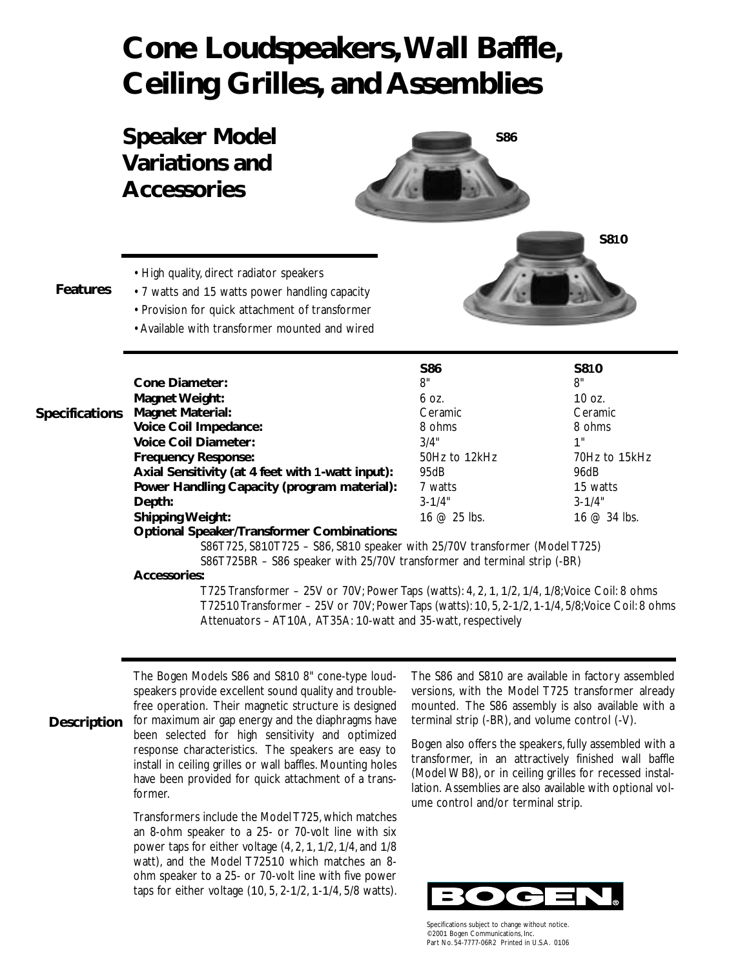# **Cone Loudspeakers,Wall Baffle, Ceiling Grilles, and Assemblies**

**Speaker Model Variations and Accessories**



• High quality, direct radiator speakers

#### **Features**

- 7 watts and 15 watts power handling capacity • Provision for quick attachment of transformer
- Available with transformer mounted and wired

|                       |                                                   | <b>S86</b>     | <b>S810</b>   |
|-----------------------|---------------------------------------------------|----------------|---------------|
|                       | Cone Diameter:                                    | 8"             | 8"            |
|                       | Magnet Weight:                                    | 6 OZ.          | 10 $oz$ .     |
| <b>Specifications</b> | <b>Magnet Material:</b>                           | Ceramic        | Ceramic       |
|                       | Voice Coil Impedance:                             | 8 ohms         | 8 ohms        |
|                       | <b>Voice Coil Diameter:</b>                       | 3/4"           | 1"            |
|                       | <b>Frequency Response:</b>                        | 50Hz to 12kHz  | 70Hz to 15kHz |
|                       | Axial Sensitivity (at 4 feet with 1-watt input):  | 95dB           | 96dB          |
|                       | Power Handling Capacity (program material):       | 7 watts        | 15 watts      |
|                       | Depth:                                            | $3 - 1/4"$     | $3 - 1/4"$    |
|                       | <b>Shipping Weight:</b>                           | 16 $@$ 25 lbs. | 16 $@34$ lbs. |
|                       | <b>Optional Speaker/Transformer Combinations:</b> |                |               |
|                       |                                                   |                |               |

S86T725, S810T725 – S86, S810 speaker with 25/70V transformer (Model T725) S86T725BR – S86 speaker with 25/70V transformer and terminal strip (-BR)

#### **Accessories:**

T725 Transformer – 25V or 70V; Power Taps (watts): 4, 2, 1, 1/2, 1/4, 1/8;Voice Coil: 8 ohms T72510 Transformer – 25V or 70V; Power Taps (watts): 10, 5, 2-1/2, 1-1/4, 5/8;Voice Coil: 8 ohms Attenuators – AT10A, AT35A: 10-watt and 35-watt, respectively

The Bogen Models S86 and S810 8" cone-type loudspeakers provide excellent sound quality and troublefree operation. Their magnetic structure is designed for maximum air gap energy and the diaphragms have been selected for high sensitivity and optimized response characteristics. The speakers are easy to install in ceiling grilles or wall baffles. Mounting holes have been provided for quick attachment of a transformer. **Description**

> Transformers include the Model T725, which matches an 8-ohm speaker to a 25- or 70-volt line with six power taps for either voltage (4, 2, 1, 1/2, 1/4, and 1/8 watt), and the Model T72510 which matches an 8 ohm speaker to a 25- or 70-volt line with five power taps for either voltage (10, 5, 2-1/2, 1-1/4, 5/8 watts).

The S86 and S810 are available in factory assembled versions, with the Model T725 transformer already mounted. The S86 assembly is also available with a terminal strip (-BR), and volume control (-V).

**S810**

Bogen also offers the speakers, fully assembled with a transformer, in an attractively finished wall baffle (Model WB8), or in ceiling grilles for recessed installation. Assemblies are also available with optional volume control and/or terminal strip.



Specifications subject to change without notice. ©2001 Bogen Communications, Inc. Part No. 54-7777-06R2 Printed in U.S.A. 0106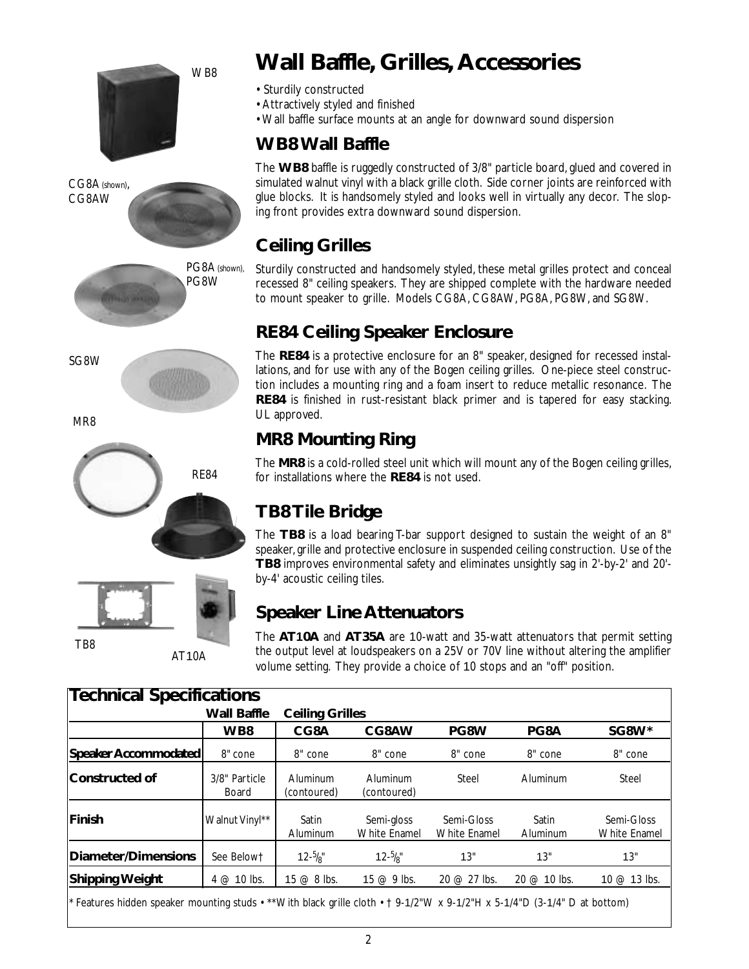





MR8





# **Wall Baffle, Grilles, Accessories**

- Sturdily constructed
- Attractively styled and finished
- Wall baffle surface mounts at an angle for downward sound dispersion

### **WB8 Wall Baffle**

The **WB8** baffle is ruggedly constructed of 3/8" particle board, glued and covered in simulated walnut vinyl with a black grille cloth. Side corner joints are reinforced with glue blocks. It is handsomely styled and looks well in virtually any decor. The sloping front provides extra downward sound dispersion.

# **Ceiling Grilles**

Sturdily constructed and handsomely styled, these metal grilles protect and conceal recessed 8" ceiling speakers. They are shipped complete with the hardware needed to mount speaker to grille. Models CG8A, CG8AW, PG8A, PG8W, and SG8W.

# **RE84 Ceiling Speaker Enclosure**

The **RE84** is a protective enclosure for an 8" speaker, designed for recessed installations, and for use with any of the Bogen ceiling grilles. One-piece steel construction includes a mounting ring and a foam insert to reduce metallic resonance. The **RE84** is finished in rust-resistant black primer and is tapered for easy stacking. UL approved.

### **MR8 Mounting Ring**

The **MR8** is a cold-rolled steel unit which will mount any of the Bogen ceiling grilles, for installations where the **RE84** is not used.

# **TB8 Tile Bridge**

The **TB8** is a load bearing T-bar support designed to sustain the weight of an 8" speaker, grille and protective enclosure in suspended ceiling construction. Use of the **TB8** improves environmental safety and eliminates unsightly sag in 2'-by-2' and 20' by-4' acoustic ceiling tiles.

# **Speaker Line Attenuators**

The **AT10A** and **AT35A** are 10-watt and 35-watt attenuators that permit setting the output level at loudspeakers on a 25V or 70V line without altering the amplifier volume setting. They provide a choice of 10 stops and an "off" position.

|                             | Wall Baffle            | <b>Ceiling Grilles</b>  |                            |                            |                   |                                   |
|-----------------------------|------------------------|-------------------------|----------------------------|----------------------------|-------------------|-----------------------------------|
|                             | WB8                    | CG8A                    | CG8AW                      | PG8W                       | PG8A              | SG8W*                             |
| <b>Speaker Accommodated</b> | 8" cone                | 8" cone                 | 8" cone                    | 8" cone                    | 8" cone           | 8" cone                           |
| Constructed of              | 3/8" Particle<br>Board | Aluminum<br>(contoured) | Aluminum<br>(contoured)    | Steel                      | Aluminum          | <b>Steel</b>                      |
| Finish                      | Walnut Vinyl**         | Satin<br>Aluminum       | Semi-gloss<br>White Enamel | Semi-Gloss<br>White Enamel | Satin<br>Aluminum | Semi-Gloss<br><b>White Enamel</b> |
| Diameter/Dimensions         | See Belowt             | $12 - \frac{5}{8}$      | $12 - \frac{5}{8}$         | 13"                        | 13"               | 13"                               |
| <b>Shipping Weight</b>      | $4 \text{ } @$ 10 lbs. | 15 $@$ 8 lbs.           | 15 $@9$ lbs.               | 20 @ 27 lbs.               | 20 @ 10 lbs.      | 10 @ 13 lbs.                      |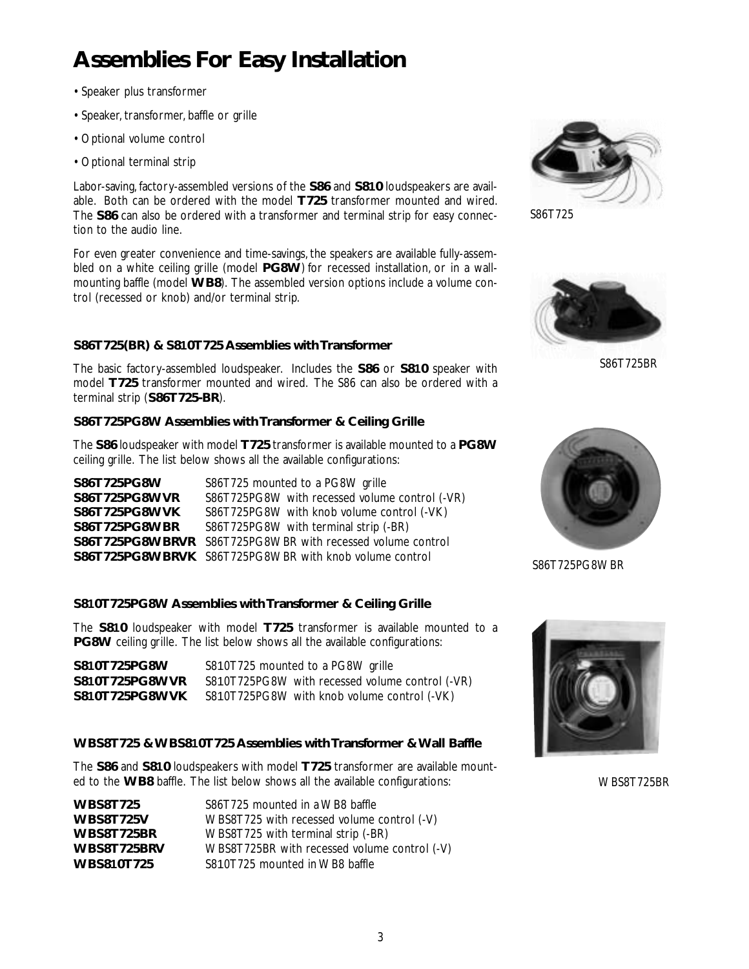# **Assemblies For Easy Installation**

- Speaker plus transformer
- Speaker, transformer, baffle or grille
- Optional volume control
- Optional terminal strip

Labor-saving, factory-assembled versions of the **S86** and **S810** loudspeakers are available. Both can be ordered with the model **T725** transformer mounted and wired. The **S86** can also be ordered with a transformer and terminal strip for easy connection to the audio line.

For even greater convenience and time-savings, the speakers are available fully-assembled on a white ceiling grille (model **PG8W**) for recessed installation, or in a wallmounting baffle (model **WB8**). The assembled version options include a volume control (recessed or knob) and/or terminal strip.

#### **S86T725(BR) & S810T725 Assemblies with Transformer**

The basic factory-assembled loudspeaker. Includes the **S86** or **S810** speaker with model **T725** transformer mounted and wired. The S86 can also be ordered with a terminal strip (**S86T725-BR**).

#### **S86T725PG8W Assemblies with Transformer & Ceiling Grille**

The **S86** loudspeaker with model **T725** transformer is available mounted to a **PG8W** ceiling grille. The list below shows all the available configurations:

| S86T725PG8W   | S86T725 mounted to a PG8W grille                                  |
|---------------|-------------------------------------------------------------------|
| S86T725PG8WVR | S86T725PG8W with recessed volume control (-VR)                    |
| S86T725PG8WVK | S86T725PG8W with knob volume control (-VK)                        |
| S86T725PG8WBR | S86T725PG8W with terminal strip (-BR)                             |
|               | <b>S86T725PG8WBRVR</b> S86T725PG8WBR with recessed volume control |
|               | <b>S86T725PG8WBRVK</b> S86T725PG8WBR with knob volume control     |

#### **S810T725PG8W Assemblies with Transformer & Ceiling Grille**

The **S810** loudspeaker with model **T725** transformer is available mounted to a **PG8W** ceiling grille. The list below shows all the available configurations:

| S810T725PG8W   | S810T725 mounted to a PG8W grille               |
|----------------|-------------------------------------------------|
| S810T725PG8WVR | S810T725PG8W with recessed volume control (-VR) |
| S810T725PG8WVK | S810T725PG8W with knob volume control (-VK)     |

#### **WBS8T725 & WBS810T725 Assemblies with Transformer & Wall Baffle**

The **S86** and **S810** loudspeakers with model **T725** transformer are available mounted to the **WB8** baffle. The list below shows all the available configurations:

| <b>WBS8T725</b>   | S86T725 mounted in a WB8 baffle              |
|-------------------|----------------------------------------------|
| <b>WBS8T725V</b>  | WBS8T725 with recessed volume control (-V)   |
| WBS8T725BR        | WBS8T725 with terminal strip (-BR)           |
| WBS8T725BRV       | WBS8T725BR with recessed volume control (-V) |
| <b>WBS810T725</b> | S810T725 mounted in WB8 baffle               |



S86T725



S86T725BR



S86T725PG8WBR



WBS8T725BR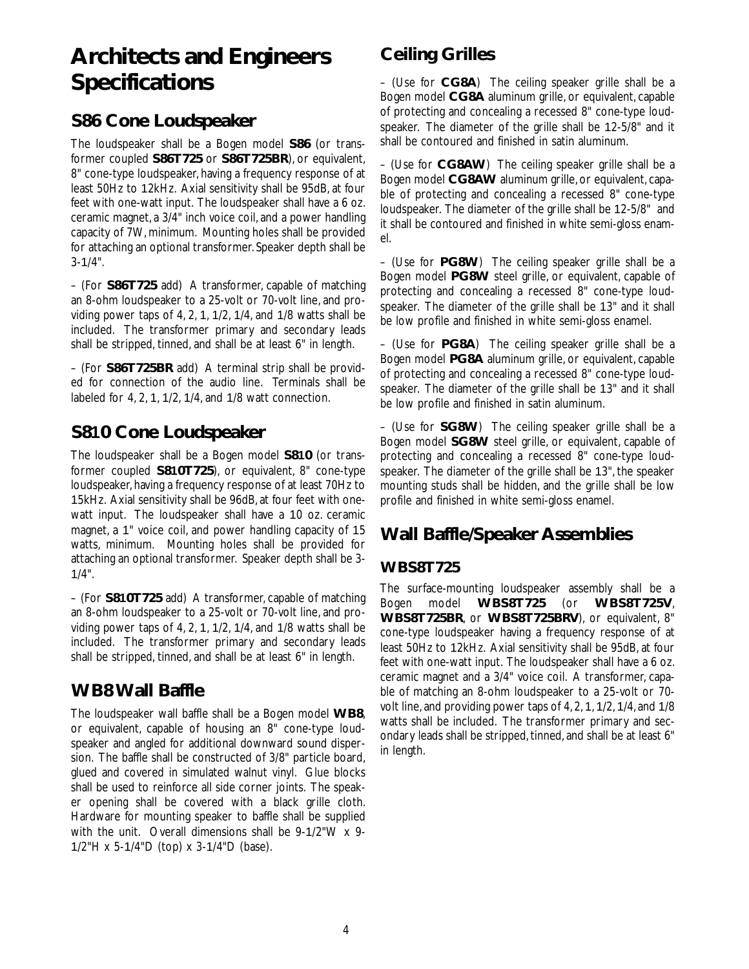# **Architects and Engineers Specifications**

### **S86 Cone Loudspeaker**

The loudspeaker shall be a Bogen model **S86** (or transformer coupled **S86T725** or **S86T725BR**), or equivalent, 8" cone-type loudspeaker, having a frequency response of at least 50Hz to 12kHz. Axial sensitivity shall be 95dB, at four feet with one-watt input. The loudspeaker shall have a 6 oz. ceramic magnet, a 3/4" inch voice coil, and a power handling capacity of 7W, minimum. Mounting holes shall be provided for attaching an optional transformer. Speaker depth shall be 3-1/4".

– (For **S86T725** add) A transformer, capable of matching an 8-ohm loudspeaker to a 25-volt or 70-volt line, and providing power taps of 4, 2, 1, 1/2, 1/4, and 1/8 watts shall be included. The transformer primary and secondary leads shall be stripped, tinned, and shall be at least 6" in length.

– (For **S86T725BR** add) A terminal strip shall be provided for connection of the audio line. Terminals shall be labeled for 4, 2, 1, 1/2, 1/4, and 1/8 watt connection.

### **S810 Cone Loudspeaker**

The loudspeaker shall be a Bogen model **S810** (or transformer coupled **S810T725**), or equivalent, 8" cone-type loudspeaker, having a frequency response of at least 70Hz to 15kHz. Axial sensitivity shall be 96dB, at four feet with onewatt input. The loudspeaker shall have a 10 oz. ceramic magnet, a 1" voice coil, and power handling capacity of 15 watts, minimum. Mounting holes shall be provided for attaching an optional transformer. Speaker depth shall be 3- 1/4".

– (For **S810T725** add) A transformer, capable of matching an 8-ohm loudspeaker to a 25-volt or 70-volt line, and providing power taps of 4, 2, 1, 1/2, 1/4, and 1/8 watts shall be included. The transformer primary and secondary leads shall be stripped, tinned, and shall be at least 6" in length.

### **WB8 Wall Baffle**

The loudspeaker wall baffle shall be a Bogen model **WB8**, or equivalent, capable of housing an 8" cone-type loudspeaker and angled for additional downward sound dispersion. The baffle shall be constructed of 3/8" particle board, glued and covered in simulated walnut vinyl. Glue blocks shall be used to reinforce all side corner joints. The speaker opening shall be covered with a black grille cloth. Hardware for mounting speaker to baffle shall be supplied with the unit. Overall dimensions shall be 9-1/2"W x 9- 1/2"H x 5-1/4"D (top) x 3-1/4"D (base).

### **Ceiling Grilles**

– (Use for **CG8A**) The ceiling speaker grille shall be a Bogen model **CG8A** aluminum grille, or equivalent, capable of protecting and concealing a recessed 8" cone-type loudspeaker. The diameter of the grille shall be 12-5/8" and it shall be contoured and finished in satin aluminum.

– (Use for **CG8AW**) The ceiling speaker grille shall be a Bogen model **CG8AW** aluminum grille, or equivalent, capable of protecting and concealing a recessed 8" cone-type loudspeaker. The diameter of the grille shall be 12-5/8" and it shall be contoured and finished in white semi-gloss enamel.

– (Use for **PG8W**) The ceiling speaker grille shall be a Bogen model **PG8W** steel grille, or equivalent, capable of protecting and concealing a recessed 8" cone-type loudspeaker. The diameter of the grille shall be 13" and it shall be low profile and finished in white semi-gloss enamel.

– (Use for **PG8A**) The ceiling speaker grille shall be a Bogen model **PG8A** aluminum grille, or equivalent, capable of protecting and concealing a recessed 8" cone-type loudspeaker. The diameter of the grille shall be 13" and it shall be low profile and finished in satin aluminum.

– (Use for **SG8W**) The ceiling speaker grille shall be a Bogen model **SG8W** steel grille, or equivalent, capable of protecting and concealing a recessed 8" cone-type loudspeaker. The diameter of the grille shall be 13", the speaker mounting studs shall be hidden, and the grille shall be low profile and finished in white semi-gloss enamel.

### **Wall Baffle/Speaker Assemblies**

### **WBS8T725**

The surface-mounting loudspeaker assembly shall be a Bogen model **WBS8T725** (or **WBS8T725V**, **WBS8T725BR**, or **WBS8T725BRV**), or equivalent, 8" cone-type loudspeaker having a frequency response of at least 50Hz to 12kHz. Axial sensitivity shall be 95dB, at four feet with one-watt input. The loudspeaker shall have a 6 oz. ceramic magnet and a 3/4" voice coil. A transformer, capable of matching an 8-ohm loudspeaker to a 25-volt or 70 volt line, and providing power taps of 4, 2, 1, 1/2, 1/4, and 1/8 watts shall be included. The transformer primary and secondary leads shall be stripped, tinned, and shall be at least 6" in length.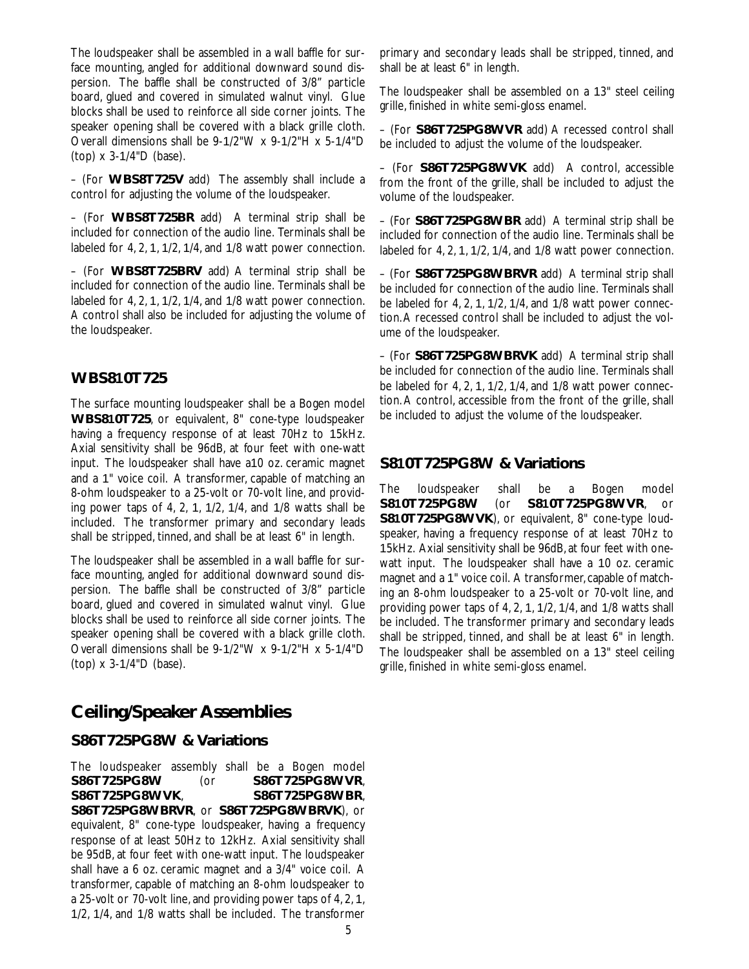The loudspeaker shall be assembled in a wall baffle for surface mounting, angled for additional downward sound dispersion. The baffle shall be constructed of 3/8" particle board, glued and covered in simulated walnut vinyl. Glue blocks shall be used to reinforce all side corner joints. The speaker opening shall be covered with a black grille cloth. Overall dimensions shall be 9-1/2"W x 9-1/2"H x 5-1/4"D (top) x 3-1/4"D (base).

– (For **WBS8T725V** add) The assembly shall include a control for adjusting the volume of the loudspeaker.

– (For **WBS8T725BR** add) A terminal strip shall be included for connection of the audio line. Terminals shall be labeled for 4, 2, 1, 1/2, 1/4, and 1/8 watt power connection.

– (For **WBS8T725BRV** add) A terminal strip shall be included for connection of the audio line. Terminals shall be labeled for 4, 2, 1, 1/2, 1/4, and 1/8 watt power connection. A control shall also be included for adjusting the volume of the loudspeaker.

#### **WBS810T725**

The surface mounting loudspeaker shall be a Bogen model **WBS810T725**, or equivalent, 8" cone-type loudspeaker having a frequency response of at least 70Hz to 15kHz. Axial sensitivity shall be 96dB, at four feet with one-watt input. The loudspeaker shall have a10 oz. ceramic magnet and a 1" voice coil. A transformer, capable of matching an 8-ohm loudspeaker to a 25-volt or 70-volt line, and providing power taps of 4, 2, 1, 1/2, 1/4, and 1/8 watts shall be included. The transformer primary and secondary leads shall be stripped, tinned, and shall be at least 6" in length.

The loudspeaker shall be assembled in a wall baffle for surface mounting, angled for additional downward sound dispersion. The baffle shall be constructed of 3/8" particle board, glued and covered in simulated walnut vinyl. Glue blocks shall be used to reinforce all side corner joints. The speaker opening shall be covered with a black grille cloth. Overall dimensions shall be 9-1/2"W x 9-1/2"H x 5-1/4"D (top) x 3-1/4"D (base).

### **Ceiling/Speaker Assemblies**

#### **S86T725PG8W & Variations**

The loudspeaker assembly shall be a Bogen model **S86T725PG8W** (or **S86T725PG8WVR**, **S86T725PG8WVK**, **S86T725PG8WBR**, **S86T725PG8WBRVR**, or **S86T725PG8WBRVK**), or equivalent, 8" cone-type loudspeaker, having a frequency response of at least 50Hz to 12kHz. Axial sensitivity shall be 95dB, at four feet with one-watt input. The loudspeaker shall have a 6 oz. ceramic magnet and a 3/4" voice coil. A transformer, capable of matching an 8-ohm loudspeaker to a 25-volt or 70-volt line, and providing power taps of 4, 2, 1, 1/2, 1/4, and 1/8 watts shall be included. The transformer primary and secondary leads shall be stripped, tinned, and shall be at least 6" in length.

The loudspeaker shall be assembled on a 13" steel ceiling grille, finished in white semi-gloss enamel.

– (For **S86T725PG8WVR** add) A recessed control shall be included to adjust the volume of the loudspeaker.

– (For **S86T725PG8WVK** add) A control, accessible from the front of the grille, shall be included to adjust the volume of the loudspeaker.

– (For **S86T725PG8WBR** add) A terminal strip shall be included for connection of the audio line. Terminals shall be labeled for 4, 2, 1, 1/2, 1/4, and 1/8 watt power connection.

– (For **S86T725PG8WBRVR** add) A terminal strip shall be included for connection of the audio line. Terminals shall be labeled for 4, 2, 1, 1/2, 1/4, and 1/8 watt power connection.A recessed control shall be included to adjust the volume of the loudspeaker.

– (For **S86T725PG8WBRVK** add) A terminal strip shall be included for connection of the audio line. Terminals shall be labeled for 4, 2, 1, 1/2, 1/4, and 1/8 watt power connection. A control, accessible from the front of the grille, shall be included to adjust the volume of the loudspeaker.

#### **S810T725PG8W & Variations**

The loudspeaker shall be a Bogen model **S810T725PG8W** (or **S810T725PG8WVR**, or **S810T725PG8WVK**), or equivalent, 8" cone-type loudspeaker, having a frequency response of at least 70Hz to 15kHz. Axial sensitivity shall be 96dB, at four feet with onewatt input. The loudspeaker shall have a 10 oz. ceramic magnet and a 1" voice coil. A transformer, capable of matching an 8-ohm loudspeaker to a 25-volt or 70-volt line, and providing power taps of 4, 2, 1, 1/2, 1/4, and 1/8 watts shall be included. The transformer primary and secondary leads shall be stripped, tinned, and shall be at least 6" in length. The loudspeaker shall be assembled on a 13" steel ceiling grille, finished in white semi-gloss enamel.